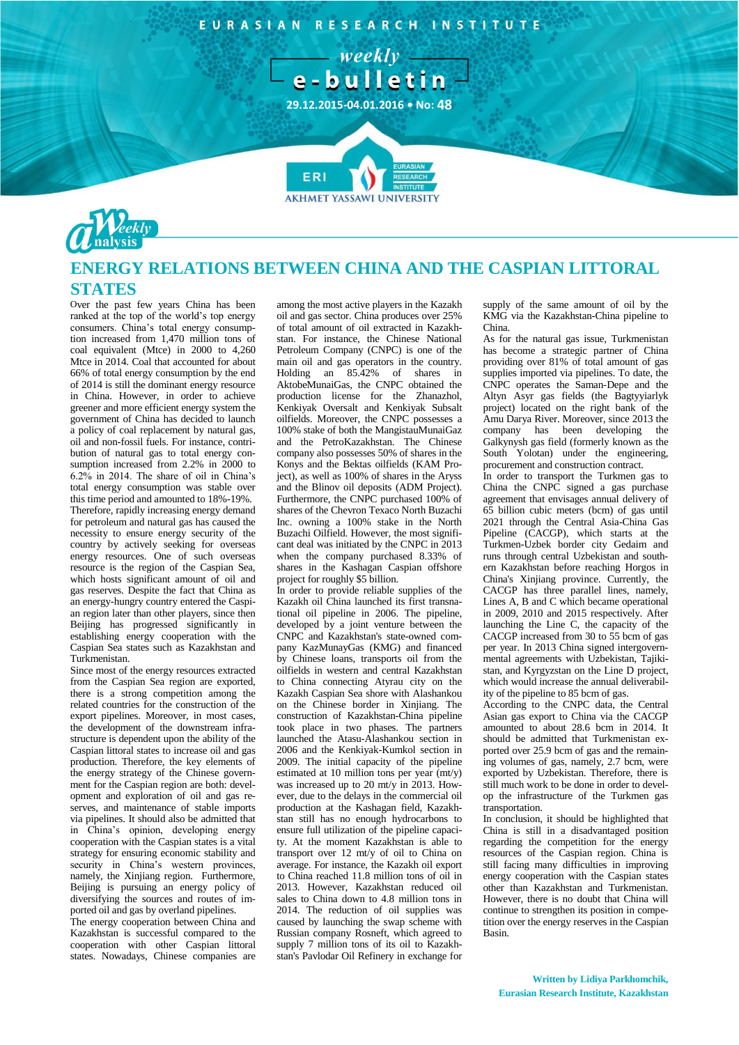EURASIAN RESEARCH INSTITUTE

 $-$  weekly  $$ e-bulletin

**29.12.2015-04.01.2016 • No: 48**

ERI



## **ENERGY RELATIONS BETWEEN CHINA AND THE CASPIAN LITTORAL STATES**

**AKHMET YASSAWI UNIVERSIT** 

Over the past few years China has been ranked at the top of the world's top energy consumers. China's total energy consumption increased from 1,470 million tons of coal equivalent (Mtce) in 2000 to 4,260 Mtce in 2014. Coal that accounted for about 66% of total energy consumption by the end of 2014 is still the dominant energy resource in China. However, in order to achieve greener and more efficient energy system the government of China has decided to launch a policy of coal replacement by natural gas, oil and non-fossil fuels. For instance, contribution of natural gas to total energy consumption increased from 2.2% in 2000 to 6.2% in 2014. The share of oil in China's total energy consumption was stable over this time period and amounted to 18%-19%. Therefore, rapidly increasing energy demand for petroleum and natural gas has caused the necessity to ensure energy security of the country by actively seeking for overseas energy resources. One of such overseas resource is the region of the Caspian Sea, which hosts significant amount of oil and gas reserves. Despite the fact that China as an energy-hungry country entered the Caspian region later than other players, since then Beijing has progressed significantly in establishing energy cooperation with the Caspian Sea states such as Kazakhstan and Turkmenistan.

Since most of the energy resources extracted from the Caspian Sea region are exported, there is a strong competition among the related countries for the construction of the export pipelines. Moreover, in most cases, the development of the downstream infrastructure is dependent upon the ability of the Caspian littoral states to increase oil and gas production. Therefore, the key elements of the energy strategy of the Chinese government for the Caspian region are both: development and exploration of oil and gas reserves, and maintenance of stable imports via pipelines. It should also be admitted that in China's opinion, developing energy cooperation with the Caspian states is a vital strategy for ensuring economic stability and security in China's western provinces, namely, the Xinjiang region. Furthermore, Beijing is pursuing an energy policy of diversifying the sources and routes of imported oil and gas by overland pipelines.

The energy cooperation between China and Kazakhstan is successful compared to the cooperation with other Caspian littoral states. Nowadays, Chinese companies are

among the most active players in the Kazakh oil and gas sector. China produces over 25% of total amount of oil extracted in Kazakhstan. For instance, the Chinese National Petroleum Company (CNPC) is one of the main oil and gas operators in the country. Holding an 85.42% of shares in AktobeMunaiGas, the CNPC obtained the production license for the Zhanazhol, Kenkiyak Oversalt and Kenkiyak Subsalt oilfields. Moreover, the CNPC possesses a 100% stake of both the MangistauMunaiGaz and the PetroKazakhstan. The Chinese company also possesses 50% of shares in the Konys and the Bektas oilfields (KAM Project), as well as 100% of shares in the Aryss and the Blinov oil deposits (ADM Project). Furthermore, the CNPC purchased 100% of shares of the Chevron Texaco North Buzachi Inc. owning a 100% stake in the North Buzachi Oilfield. However, the most significant deal was initiated by the CNPC in 2013 when the company purchased 8.33% of shares in the Kashagan Caspian offshore project for roughly \$5 billion.

In order to provide reliable supplies of the Kazakh oil China launched its first transnational oil pipeline in 2006. The pipeline, developed by a joint venture between the CNPC and Kazakhstan's state-owned company KazMunayGas (KMG) and financed by Chinese loans, transports oil from the oilfields in western and central Kazakhstan to China connecting Atyrau city on the Kazakh Caspian Sea shore with Alashankou on the Chinese border in Xinjiang. The construction of Kazakhstan-China pipeline took place in two phases. The partners launched the Atasu-Alashankou section in 2006 and the Kenkiyak-Kumkol section in 2009. The initial capacity of the pipeline estimated at 10 million tons per year (mt/y) was increased up to 20 mt/y in 2013. However, due to the delays in the commercial oil production at the Kashagan field, Kazakhstan still has no enough hydrocarbons to ensure full utilization of the pipeline capacity. At the moment Kazakhstan is able to transport over 12 mt/y of oil to China on average. For instance, the Kazakh oil export to China reached 11.8 million tons of oil in 2013. However, Kazakhstan reduced oil sales to China down to 4.8 million tons in 2014. The reduction of oil supplies was caused by launching the swap scheme with Russian company Rosneft, which agreed to supply 7 million tons of its oil to Kazakhstan's Pavlodar Oil Refinery in exchange for supply of the same amount of oil by the KMG via the Kazakhstan-China pipeline to China.

As for the natural gas issue, Turkmenistan has become a strategic partner of China providing over 81% of total amount of gas supplies imported via pipelines. To date, the CNPC operates the Saman-Depe and the Altyn Asyr gas fields (the Bagtyyiarlyk project) located on the right bank of the Amu Darya River. Moreover, since 2013 the company has been developing the Galkynysh gas field (formerly known as the South Yolotan) under the engineering, procurement and construction contract.

In order to transport the Turkmen gas to China the CNPC signed a gas purchase agreement that envisages annual delivery of 65 billion cubic meters (bcm) of gas until 2021 through the Central Asia-China Gas Pipeline (CACGP), which starts at the Turkmen-Uzbek border city Gedaim and runs through central Uzbekistan and southern Kazakhstan before reaching Horgos in China's Xinjiang province. Currently, the CACGP has three parallel lines, namely, Lines A, B and C which became operational in 2009, 2010 and 2015 respectively. After launching the Line C, the capacity of the CACGP increased from 30 to 55 bcm of gas per year. In 2013 China signed intergovernmental agreements with Uzbekistan, Tajikistan, and Kyrgyzstan on the Line D project, which would increase the annual deliverability of the pipeline to 85 bcm of gas.

According to the CNPC data, the Central Asian gas export to China via the CACGP amounted to about 28.6 bcm in 2014. It should be admitted that Turkmenistan exported over 25.9 bcm of gas and the remaining volumes of gas, namely, 2.7 bcm, were exported by Uzbekistan. Therefore, there is still much work to be done in order to develop the infrastructure of the Turkmen gas transportation.

In conclusion, it should be highlighted that China is still in a disadvantaged position regarding the competition for the energy resources of the Caspian region. China is still facing many difficulties in improving energy cooperation with the Caspian states other than Kazakhstan and Turkmenistan. However, there is no doubt that China will continue to strengthen its position in competition over the energy reserves in the Caspian Basin.